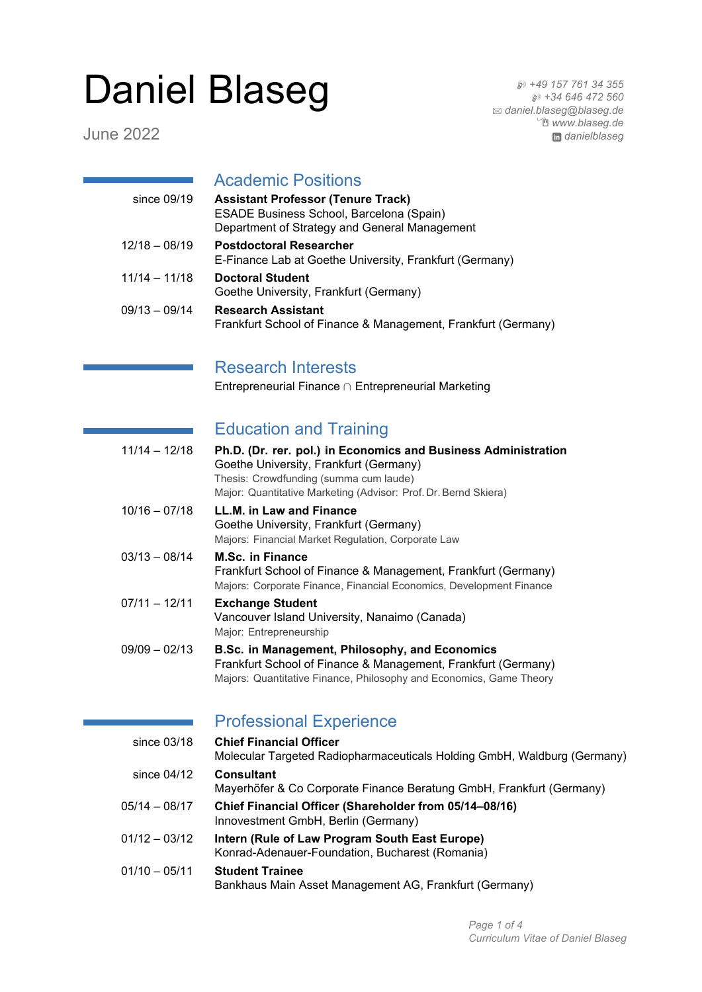# Daniel Blaseg

June 2022

H *+49 157 761 34 355* H *+34 646 472 560* B *[daniel.blaseg@blaseg.de](mailto:daniel.blaseg@blaseg.de)* Í *[www.blaseg.de](http://www.blaseg.de) [danielblaseg](http://www.linkedin.com/in/danielblaseg)*

# Academic Positions

| since $09/19$   | <b>Assistant Professor (Tenure Track)</b><br>ESADE Business School, Barcelona (Spain)<br>Department of Strategy and General Management |
|-----------------|----------------------------------------------------------------------------------------------------------------------------------------|
| $12/18 - 08/19$ | <b>Postdoctoral Researcher</b><br>E-Finance Lab at Goethe University, Frankfurt (Germany)                                              |
| $11/14 - 11/18$ | <b>Doctoral Student</b><br>Goethe University, Frankfurt (Germany)                                                                      |
| $09/13 - 09/14$ | <b>Research Assistant</b><br>Frankfurt School of Finance & Management, Frankfurt (Germany)                                             |

#### Research Interests

Entrepreneurial Finance ∩ Entrepreneurial Marketing

#### Education and Training

| $11/14 - 12/18$ | Ph.D. (Dr. rer. pol.) in Economics and Business Administration<br>Goethe University, Frankfurt (Germany)<br>Thesis: Crowdfunding (summa cum laude)<br>Major: Quantitative Marketing (Advisor: Prof. Dr. Bernd Skiera) |
|-----------------|-----------------------------------------------------------------------------------------------------------------------------------------------------------------------------------------------------------------------|
| $10/16 - 07/18$ | LL.M. in Law and Finance<br>Goethe University, Frankfurt (Germany)<br>Majors: Financial Market Regulation, Corporate Law                                                                                              |
| $03/13 - 08/14$ | <b>M.Sc. in Finance</b><br>Frankfurt School of Finance & Management, Frankfurt (Germany)<br>Majors: Corporate Finance, Financial Economics, Development Finance                                                       |
| $07/11 - 12/11$ | <b>Exchange Student</b><br>Vancouver Island University, Nanaimo (Canada)<br>Major: Entrepreneurship                                                                                                                   |
| $09/09 - 02/13$ | B.Sc. in Management, Philosophy, and Economics<br>Frankfurt School of Finance & Management, Frankfurt (Germany)<br>Majors: Quantitative Finance, Philosophy and Economics, Game Theory                                |

# Professional Experience

| since $03/18$   | <b>Chief Financial Officer</b><br>Molecular Targeted Radiopharmaceuticals Holding GmbH, Waldburg (Germany) |
|-----------------|------------------------------------------------------------------------------------------------------------|
| since $04/12$   | <b>Consultant</b><br>Mayerhöfer & Co Corporate Finance Beratung GmbH, Frankfurt (Germany)                  |
| $05/14 - 08/17$ | Chief Financial Officer (Shareholder from 05/14-08/16)<br>Innovestment GmbH, Berlin (Germany)              |
| $01/12 - 03/12$ | Intern (Rule of Law Program South East Europe)<br>Konrad-Adenauer-Foundation, Bucharest (Romania)          |
| $01/10 - 05/11$ | <b>Student Trainee</b><br>Bankhaus Main Asset Management AG, Frankfurt (Germany)                           |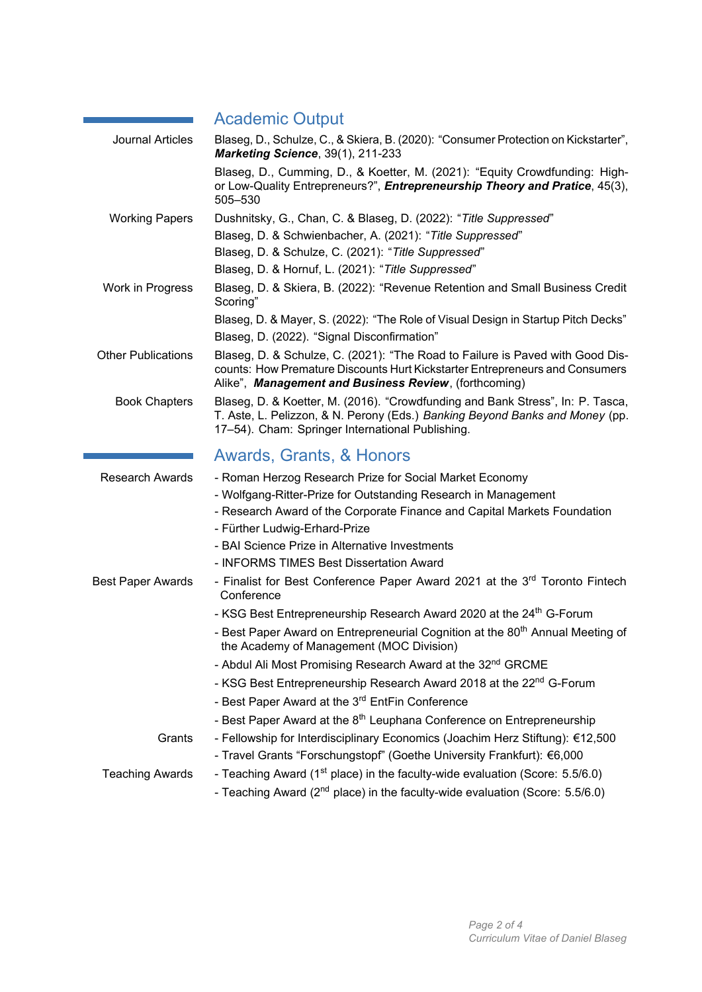# Academic Output

| <b>Journal Articles</b>   | Blaseg, D., Schulze, C., & Skiera, B. (2020): "Consumer Protection on Kickstarter",<br>Marketing Science, 39(1), 211-233                                                                                               |
|---------------------------|------------------------------------------------------------------------------------------------------------------------------------------------------------------------------------------------------------------------|
|                           | Blaseg, D., Cumming, D., & Koetter, M. (2021): "Equity Crowdfunding: High-<br>or Low-Quality Entrepreneurs?", <i>Entrepreneurship Theory and Pratice</i> , 45(3),<br>505-530                                           |
| <b>Working Papers</b>     | Dushnitsky, G., Chan, C. & Blaseg, D. (2022): "Title Suppressed"                                                                                                                                                       |
|                           | Blaseg, D. & Schwienbacher, A. (2021): "Title Suppressed"                                                                                                                                                              |
|                           | Blaseg, D. & Schulze, C. (2021): "Title Suppressed"                                                                                                                                                                    |
|                           | Blaseg, D. & Hornuf, L. (2021): "Title Suppressed"                                                                                                                                                                     |
| Work in Progress          | Blaseg, D. & Skiera, B. (2022): "Revenue Retention and Small Business Credit<br>Scoring"                                                                                                                               |
|                           | Blaseg, D. & Mayer, S. (2022): "The Role of Visual Design in Startup Pitch Decks"                                                                                                                                      |
|                           | Blaseg, D. (2022). "Signal Disconfirmation"                                                                                                                                                                            |
| <b>Other Publications</b> | Blaseg, D. & Schulze, C. (2021): "The Road to Failure is Paved with Good Dis-<br>counts: How Premature Discounts Hurt Kickstarter Entrepreneurs and Consumers<br>Alike", Management and Business Review, (forthcoming) |
| <b>Book Chapters</b>      | Blaseg, D. & Koetter, M. (2016). "Crowdfunding and Bank Stress", In: P. Tasca,<br>T. Aste, L. Pelizzon, & N. Perony (Eds.) Banking Beyond Banks and Money (pp.<br>17-54). Cham: Springer International Publishing.     |
|                           | Awards, Grants, & Honors                                                                                                                                                                                               |
| <b>Research Awards</b>    | - Roman Herzog Research Prize for Social Market Economy                                                                                                                                                                |
|                           | - Wolfgang-Ritter-Prize for Outstanding Research in Management                                                                                                                                                         |
|                           | - Research Award of the Corporate Finance and Capital Markets Foundation                                                                                                                                               |
|                           | - Fürther Ludwig-Erhard-Prize                                                                                                                                                                                          |
|                           | - BAI Science Prize in Alternative Investments<br>- INFORMS TIMES Best Dissertation Award                                                                                                                              |
| <b>Best Paper Awards</b>  | - Finalist for Best Conference Paper Award 2021 at the 3rd Toronto Fintech                                                                                                                                             |
|                           | Conference                                                                                                                                                                                                             |
|                           | - KSG Best Entrepreneurship Research Award 2020 at the 24 <sup>th</sup> G-Forum                                                                                                                                        |
|                           | - Best Paper Award on Entrepreneurial Cognition at the 80 <sup>th</sup> Annual Meeting of<br>the Academy of Management (MOC Division)                                                                                  |
|                           | - Abdul Ali Most Promising Research Award at the 32 <sup>nd</sup> GRCME                                                                                                                                                |
|                           | - KSG Best Entrepreneurship Research Award 2018 at the 22 <sup>nd</sup> G-Forum                                                                                                                                        |
|                           | - Best Paper Award at the 3rd EntFin Conference                                                                                                                                                                        |
|                           | - Best Paper Award at the 8 <sup>th</sup> Leuphana Conference on Entrepreneurship                                                                                                                                      |
| Grants                    | - Fellowship for Interdisciplinary Economics (Joachim Herz Stiftung): €12,500                                                                                                                                          |
|                           | - Travel Grants "Forschungstopf" (Goethe University Frankfurt): €6,000                                                                                                                                                 |
| <b>Teaching Awards</b>    | - Teaching Award (1 <sup>st</sup> place) in the faculty-wide evaluation (Score: 5.5/6.0)                                                                                                                               |
|                           | - Teaching Award (2 <sup>nd</sup> place) in the faculty-wide evaluation (Score: 5.5/6.0)                                                                                                                               |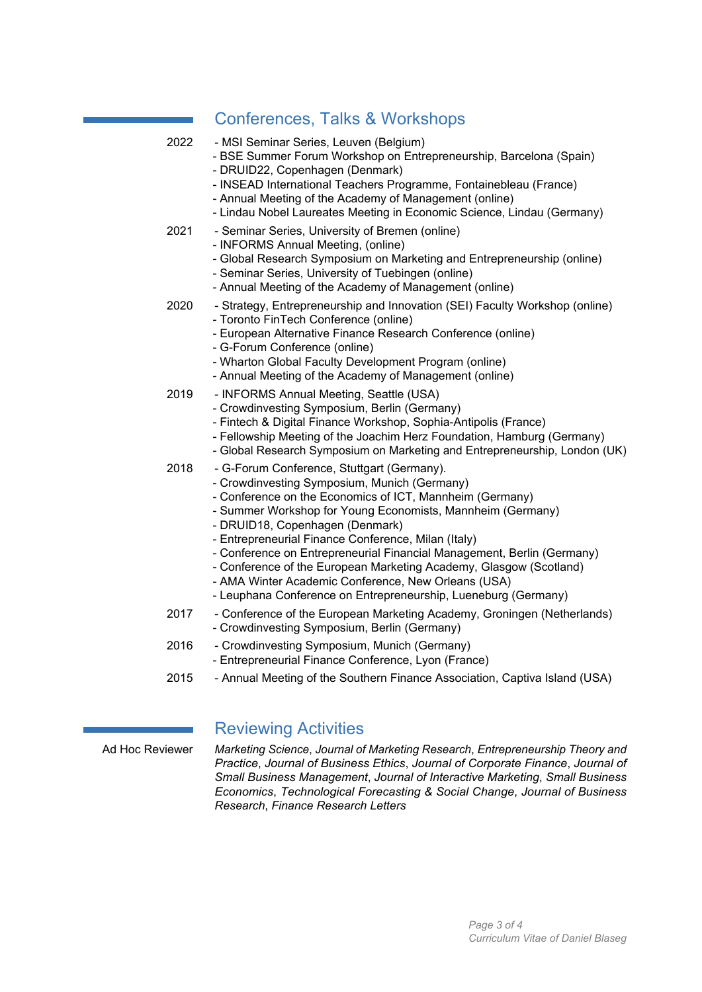#### Conferences, Talks & Workshops

| 2022 | - MSI Seminar Series, Leuven (Belgium)<br>- BSE Summer Forum Workshop on Entrepreneurship, Barcelona (Spain)<br>- DRUID22, Copenhagen (Denmark)<br>- INSEAD International Teachers Programme, Fontainebleau (France)<br>- Annual Meeting of the Academy of Management (online)<br>- Lindau Nobel Laureates Meeting in Economic Science, Lindau (Germany)                                                                                                                                                                                                                                |
|------|-----------------------------------------------------------------------------------------------------------------------------------------------------------------------------------------------------------------------------------------------------------------------------------------------------------------------------------------------------------------------------------------------------------------------------------------------------------------------------------------------------------------------------------------------------------------------------------------|
| 2021 | - Seminar Series, University of Bremen (online)<br>- INFORMS Annual Meeting, (online)<br>- Global Research Symposium on Marketing and Entrepreneurship (online)<br>- Seminar Series, University of Tuebingen (online)<br>- Annual Meeting of the Academy of Management (online)                                                                                                                                                                                                                                                                                                         |
| 2020 | - Strategy, Entrepreneurship and Innovation (SEI) Faculty Workshop (online)<br>- Toronto FinTech Conference (online)<br>- European Alternative Finance Research Conference (online)<br>- G-Forum Conference (online)<br>- Wharton Global Faculty Development Program (online)<br>- Annual Meeting of the Academy of Management (online)                                                                                                                                                                                                                                                 |
| 2019 | - INFORMS Annual Meeting, Seattle (USA)<br>- Crowdinvesting Symposium, Berlin (Germany)<br>- Fintech & Digital Finance Workshop, Sophia-Antipolis (France)<br>- Fellowship Meeting of the Joachim Herz Foundation, Hamburg (Germany)<br>- Global Research Symposium on Marketing and Entrepreneurship, London (UK)                                                                                                                                                                                                                                                                      |
| 2018 | - G-Forum Conference, Stuttgart (Germany).<br>- Crowdinvesting Symposium, Munich (Germany)<br>- Conference on the Economics of ICT, Mannheim (Germany)<br>- Summer Workshop for Young Economists, Mannheim (Germany)<br>- DRUID18, Copenhagen (Denmark)<br>- Entrepreneurial Finance Conference, Milan (Italy)<br>- Conference on Entrepreneurial Financial Management, Berlin (Germany)<br>- Conference of the European Marketing Academy, Glasgow (Scotland)<br>- AMA Winter Academic Conference, New Orleans (USA)<br>- Leuphana Conference on Entrepreneurship, Lueneburg (Germany) |
| 2017 | - Conference of the European Marketing Academy, Groningen (Netherlands)<br>- Crowdinvesting Symposium, Berlin (Germany)                                                                                                                                                                                                                                                                                                                                                                                                                                                                 |
| 2016 | - Crowdinvesting Symposium, Munich (Germany)                                                                                                                                                                                                                                                                                                                                                                                                                                                                                                                                            |

- Entrepreneurial Finance Conference, Lyon (France)
- 2015 Annual Meeting of the Southern Finance Association, Captiva Island (USA)

#### Reviewing Activities

Ad Hoc Reviewer *Marketing Science*, *Journal of Marketing Research*, *Entrepreneurship Theory and Practice*, *Journal of Business Ethics*, *Journal of Corporate Finance*, *Journal of Small Business Management*, *Journal of Interactive Marketing*, *Small Business Economics*, *Technological Forecasting & Social Change*, *Journal of Business Research*, *Finance Research Letters*